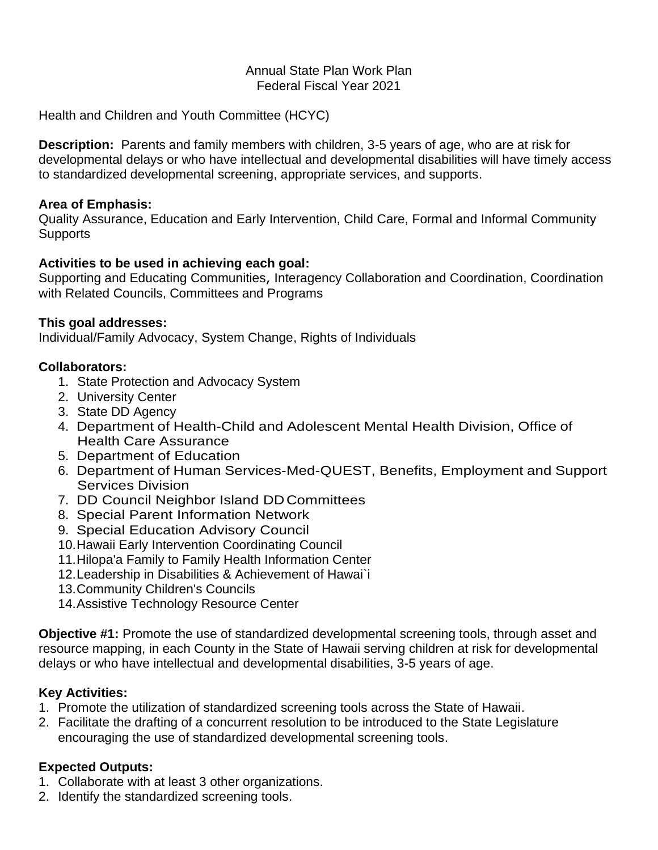### Annual State Plan Work Plan Federal Fiscal Year 2021

Health and Children and Youth Committee (HCYC)

**Description:** Parents and family members with children, 3-5 years of age, who are at risk for developmental delays or who have intellectual and developmental disabilities will have timely access to standardized developmental screening, appropriate services, and supports.

### **Area of Emphasis:**

Quality Assurance, Education and Early Intervention, Child Care, Formal and Informal Community **Supports** 

### **Activities to be used in achieving each goal:**

Supporting and Educating Communities, Interagency Collaboration and Coordination, Coordination with Related Councils, Committees and Programs

### **This goal addresses:**

Individual/Family Advocacy, System Change, Rights of Individuals

### **Collaborators:**

- 1. State Protection and Advocacy System
- 2. University Center
- 3. State DD Agency
- 4. Department of Health-Child and Adolescent Mental Health Division, Office of Health Care Assurance
- 5. Department of Education
- 6. Department of Human Services-Med-QUEST, Benefits, Employment and Support Services Division
- 7. DD Council Neighbor Island DDCommittees
- 8. Special Parent Information Network
- 9. Special Education Advisory Council
- 10.Hawaii Early Intervention Coordinating Council
- 11.Hilopa'a Family to Family Health Information Center
- 12.Leadership in Disabilities & Achievement of Hawai`i
- 13.Community Children's Councils
- 14.Assistive Technology Resource Center

**Objective #1:** Promote the use of standardized developmental screening tools, through asset and resource mapping, in each County in the State of Hawaii serving children at risk for developmental delays or who have intellectual and developmental disabilities, 3-5 years of age.

### **Key Activities:**

- 1. Promote the utilization of standardized screening tools across the State of Hawaii.
- 2. Facilitate the drafting of a concurrent resolution to be introduced to the State Legislature encouraging the use of standardized developmental screening tools.

### **Expected Outputs:**

- 1. Collaborate with at least 3 other organizations.
- 2. Identify the standardized screening tools.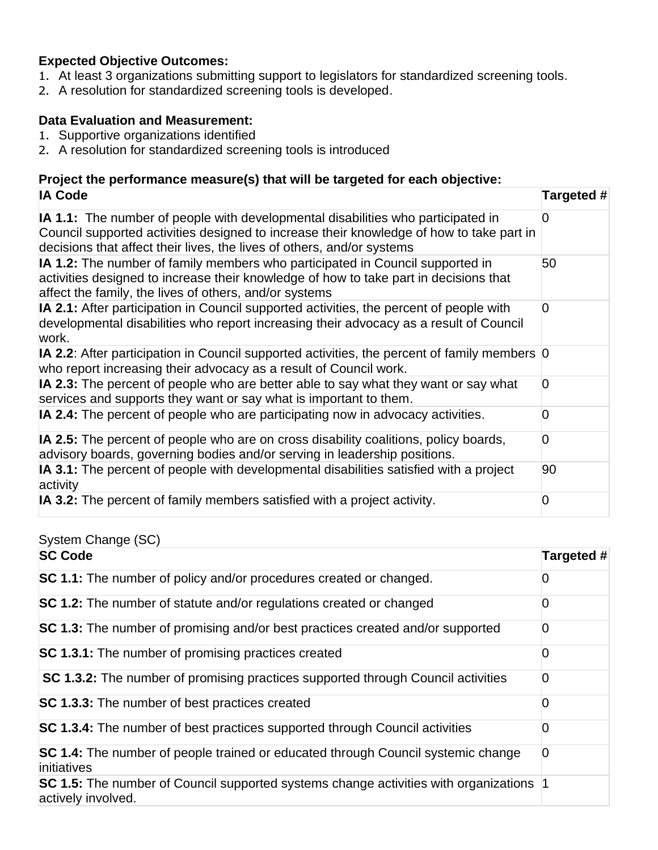## **Expected Objective Outcomes:**

- 1. At least 3 organizations submitting support to legislators for standardized screening tools.
- 2. A resolution for standardized screening tools is developed.

## **Data Evaluation and Measurement:**

- 1. Supportive organizations identified
- 2. A resolution for standardized screening tools is introduced

## **Project the performance measure(s) that will be targeted for each objective: IA Code Targeted #**

| IA vuut                                                                                                                                                                                                                                                | $\mathbf{u}$ argued $\mathbf{r}$ |
|--------------------------------------------------------------------------------------------------------------------------------------------------------------------------------------------------------------------------------------------------------|----------------------------------|
| IA 1.1: The number of people with developmental disabilities who participated in<br>Council supported activities designed to increase their knowledge of how to take part in<br>decisions that affect their lives, the lives of others, and/or systems | 0                                |
| IA 1.2: The number of family members who participated in Council supported in<br>activities designed to increase their knowledge of how to take part in decisions that<br>affect the family, the lives of others, and/or systems                       | 50                               |
| IA 2.1: After participation in Council supported activities, the percent of people with<br>developmental disabilities who report increasing their advocacy as a result of Council<br>work.                                                             | 0                                |
| <b>IA 2.2:</b> After participation in Council supported activities, the percent of family members 0<br>who report increasing their advocacy as a result of Council work.                                                                               |                                  |
| IA 2.3: The percent of people who are better able to say what they want or say what<br>services and supports they want or say what is important to them.                                                                                               | $\overline{0}$                   |
| IA 2.4: The percent of people who are participating now in advocacy activities.                                                                                                                                                                        | 0                                |
| <b>IA 2.5:</b> The percent of people who are on cross disability coalitions, policy boards,<br>advisory boards, governing bodies and/or serving in leadership positions.                                                                               | 0                                |
| IA 3.1: The percent of people with developmental disabilities satisfied with a project<br>activity                                                                                                                                                     | 90                               |
| <b>IA 3.2:</b> The percent of family members satisfied with a project activity.                                                                                                                                                                        | 0                                |

System Change (SC)

| <b>SC Code</b>                                                                                             | Targeted # |
|------------------------------------------------------------------------------------------------------------|------------|
| SC 1.1: The number of policy and/or procedures created or changed.                                         | 0          |
| SC 1.2: The number of statute and/or regulations created or changed                                        | 0          |
| SC 1.3: The number of promising and/or best practices created and/or supported                             | 0          |
| SC 1.3.1: The number of promising practices created                                                        | 0          |
| SC 1.3.2: The number of promising practices supported through Council activities                           | 0          |
| SC 1.3.3: The number of best practices created                                                             | 0          |
| SC 1.3.4: The number of best practices supported through Council activities                                | 0          |
| SC 1.4: The number of people trained or educated through Council systemic change<br>initiatives            | 0          |
| SC 1.5: The number of Council supported systems change activities with organizations<br>actively involved. |            |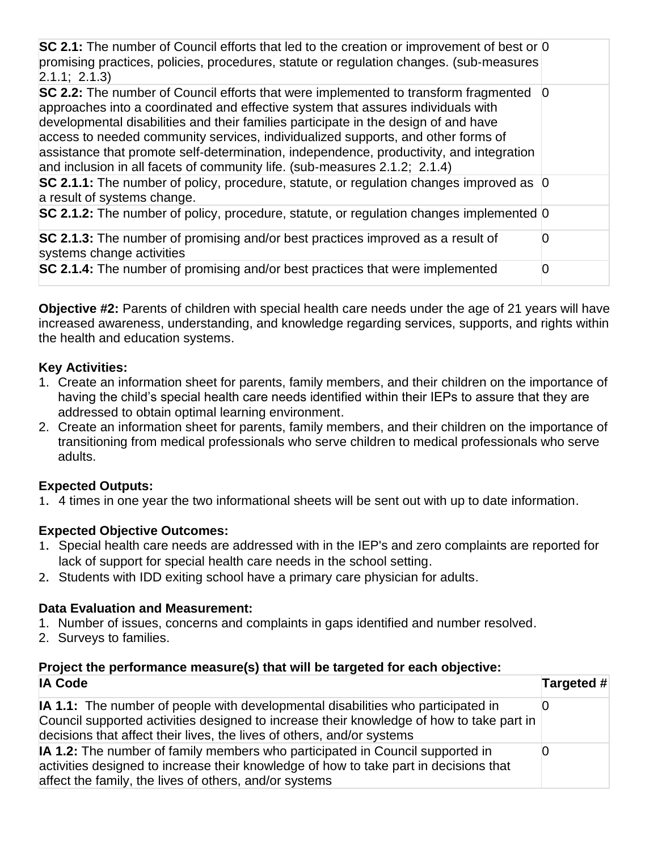| SC 2.1: The number of Council efforts that led to the creation or improvement of best or 0<br>promising practices, policies, procedures, statute or regulation changes. (sub-measures<br>2.1.1; 2.1.3                                                                                                                                                                                                                                                                                                                       |          |
|-----------------------------------------------------------------------------------------------------------------------------------------------------------------------------------------------------------------------------------------------------------------------------------------------------------------------------------------------------------------------------------------------------------------------------------------------------------------------------------------------------------------------------|----------|
| SC 2.2: The number of Council efforts that were implemented to transform fragmented<br>approaches into a coordinated and effective system that assures individuals with<br>developmental disabilities and their families participate in the design of and have<br>access to needed community services, individualized supports, and other forms of<br>assistance that promote self-determination, independence, productivity, and integration<br>and inclusion in all facets of community life. (sub-measures 2.1.2; 2.1.4) | $\Omega$ |
| SC 2.1.1: The number of policy, procedure, statute, or regulation changes improved as $\vert 0 \rangle$<br>a result of systems change.                                                                                                                                                                                                                                                                                                                                                                                      |          |
| SC 2.1.2: The number of policy, procedure, statute, or regulation changes implemented 0                                                                                                                                                                                                                                                                                                                                                                                                                                     |          |
| SC 2.1.3: The number of promising and/or best practices improved as a result of<br>systems change activities                                                                                                                                                                                                                                                                                                                                                                                                                | O        |
| SC 2.1.4: The number of promising and/or best practices that were implemented                                                                                                                                                                                                                                                                                                                                                                                                                                               | O        |

**Objective #2:** Parents of children with special health care needs under the age of 21 years will have increased awareness, understanding, and knowledge regarding services, supports, and rights within the health and education systems.

## **Key Activities:**

- 1. Create an information sheet for parents, family members, and their children on the importance of having the child's special health care needs identified within their IEPs to assure that they are addressed to obtain optimal learning environment.
- 2. Create an information sheet for parents, family members, and their children on the importance of transitioning from medical professionals who serve children to medical professionals who serve adults.

## **Expected Outputs:**

1. 4 times in one year the two informational sheets will be sent out with up to date information.

# **Expected Objective Outcomes:**

- 1. Special health care needs are addressed with in the IEP's and zero complaints are reported for lack of support for special health care needs in the school setting.
- 2. Students with IDD exiting school have a primary care physician for adults.

## **Data Evaluation and Measurement:**

- 1. Number of issues, concerns and complaints in gaps identified and number resolved.
- 2. Surveys to families.

# **Project the performance measure(s) that will be targeted for each objective:**

| <b>IA Code</b>                                                                                                                                                                                                                                                | Targeted # |
|---------------------------------------------------------------------------------------------------------------------------------------------------------------------------------------------------------------------------------------------------------------|------------|
| <b>IA 1.1:</b> The number of people with developmental disabilities who participated in<br>Council supported activities designed to increase their knowledge of how to take part in<br>decisions that affect their lives, the lives of others, and/or systems |            |
| IA 1.2: The number of family members who participated in Council supported in<br>activities designed to increase their knowledge of how to take part in decisions that<br>affect the family, the lives of others, and/or systems                              |            |